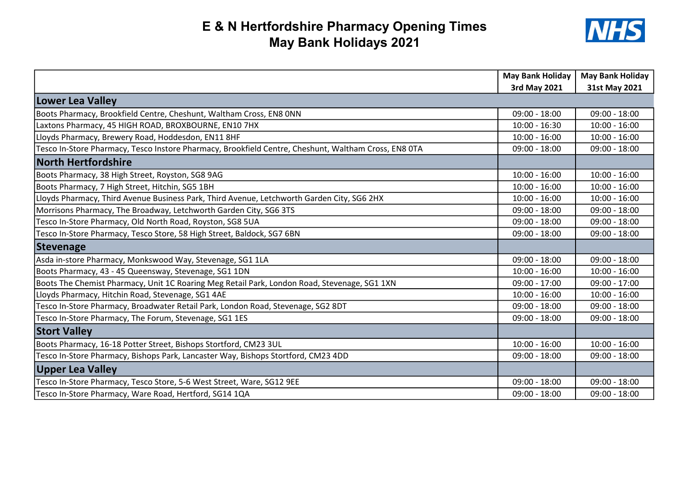## E & N Hertfordshire Pharmacy Opening Times May Bank Holidays 2021



|                                                                                                      | <b>May Bank Holiday</b> | <b>May Bank Holiday</b> |
|------------------------------------------------------------------------------------------------------|-------------------------|-------------------------|
|                                                                                                      | 3rd May 2021            | 31st May 2021           |
| Lower Lea Valley                                                                                     |                         |                         |
| Boots Pharmacy, Brookfield Centre, Cheshunt, Waltham Cross, EN8 ONN                                  | $09:00 - 18:00$         | $09:00 - 18:00$         |
| Laxtons Pharmacy, 45 HIGH ROAD, BROXBOURNE, EN10 7HX                                                 | $10:00 - 16:30$         | $10:00 - 16:00$         |
| Lloyds Pharmacy, Brewery Road, Hoddesdon, EN11 8HF                                                   | $10:00 - 16:00$         | $10:00 - 16:00$         |
| Tesco In-Store Pharmacy, Tesco Instore Pharmacy, Brookfield Centre, Cheshunt, Waltham Cross, EN8 0TA | $09:00 - 18:00$         | $09:00 - 18:00$         |
| <b>North Hertfordshire</b>                                                                           |                         |                         |
| Boots Pharmacy, 38 High Street, Royston, SG8 9AG                                                     | $10:00 - 16:00$         | $10:00 - 16:00$         |
| Boots Pharmacy, 7 High Street, Hitchin, SG5 1BH                                                      | $10:00 - 16:00$         | $10:00 - 16:00$         |
| Lloyds Pharmacy, Third Avenue Business Park, Third Avenue, Letchworth Garden City, SG6 2HX           | $10:00 - 16:00$         | $10:00 - 16:00$         |
| Morrisons Pharmacy, The Broadway, Letchworth Garden City, SG6 3TS                                    | $09:00 - 18:00$         | $09:00 - 18:00$         |
| Tesco In-Store Pharmacy, Old North Road, Royston, SG8 5UA                                            | $09:00 - 18:00$         | $09:00 - 18:00$         |
| Tesco In-Store Pharmacy, Tesco Store, 58 High Street, Baldock, SG7 6BN                               | $09:00 - 18:00$         | $09:00 - 18:00$         |
| Stevenage                                                                                            |                         |                         |
| Asda in-store Pharmacy, Monkswood Way, Stevenage, SG1 1LA                                            | $09:00 - 18:00$         | $09:00 - 18:00$         |
| Boots Pharmacy, 43 - 45 Queensway, Stevenage, SG1 1DN                                                | $10:00 - 16:00$         | $10:00 - 16:00$         |
| Boots The Chemist Pharmacy, Unit 1C Roaring Meg Retail Park, London Road, Stevenage, SG1 1XN         | $09:00 - 17:00$         | $09:00 - 17:00$         |
| Lloyds Pharmacy, Hitchin Road, Stevenage, SG1 4AE                                                    | $10:00 - 16:00$         | $10:00 - 16:00$         |
| Tesco In-Store Pharmacy, Broadwater Retail Park, London Road, Stevenage, SG2 8DT                     | $09:00 - 18:00$         | $09:00 - 18:00$         |
| Tesco In-Store Pharmacy, The Forum, Stevenage, SG1 1ES                                               | $09:00 - 18:00$         | $09:00 - 18:00$         |
| <b>Stort Valley</b>                                                                                  |                         |                         |
| Boots Pharmacy, 16-18 Potter Street, Bishops Stortford, CM23 3UL                                     | $10:00 - 16:00$         | $10:00 - 16:00$         |
| Tesco In-Store Pharmacy, Bishops Park, Lancaster Way, Bishops Stortford, CM23 4DD                    | $09:00 - 18:00$         | $09:00 - 18:00$         |
| <b>Upper Lea Valley</b>                                                                              |                         |                         |
| Tesco In-Store Pharmacy, Tesco Store, 5-6 West Street, Ware, SG12 9EE                                | $09:00 - 18:00$         | $09:00 - 18:00$         |
| Tesco In-Store Pharmacy, Ware Road, Hertford, SG14 1QA                                               | $09:00 - 18:00$         | $09:00 - 18:00$         |